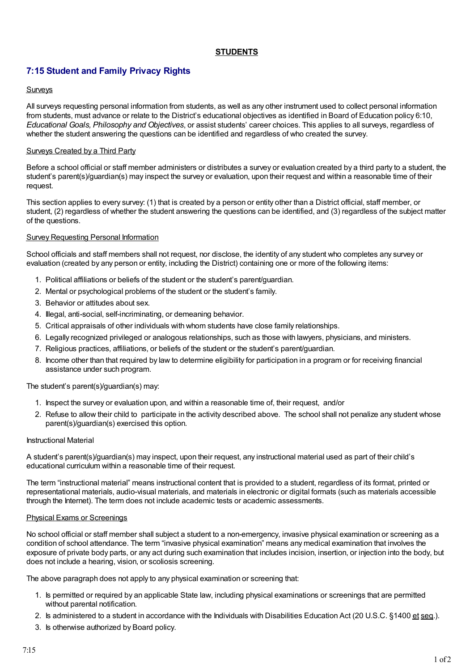# **STUDENTS**

# **7:15 Student and Family Privacy Rights**

## Surveys

All surveys requesting personal information from students, as well as any other instrument used to collect personal information from students, must advance or relate to the District's educational objectives as identified in Board of Education policy 6:10, *Educational Goals, Philosophy and Objectives*, or assist students' career choices. This applies to all surveys, regardless of whether the student answering the questions can be identified and regardless of who created the survey.

## Surveys Created by a Third Party

Before a school official or staff member administers or distributes a survey or evaluation created by a third party to a student, the student's parent(s)/guardian(s) may inspect the survey or evaluation, upon their request and within a reasonable time of their request.

This section applies to every survey: (1) that is created by a person or entity other than a District official, staff member, or student, (2) regardless of whether the student answering the questions can be identified, and (3) regardless of the subject matter of the questions.

## **Survey Requesting Personal Information**

School officials and staff members shall not request, nor disclose, the identity of any student who completes any survey or evaluation (created by any person or entity, including the District) containing one or more of the following items:

- 1. Political affiliations or beliefs of the student or the student's parent/guardian.
- 2. Mental or psychological problems of the student or the student's family.
- 3. Behavior or attitudes about sex.
- 4. Illegal, anti-social, self-incriminating, or demeaning behavior.
- 5. Critical appraisals of other individuals with whom students have close family relationships.
- 6. Legally recognized privileged or analogous relationships, such as those with lawyers, physicians, and ministers.
- 7. Religious practices, affiliations, or beliefs of the student or the student's parent/guardian.
- 8. Income other than that required by law to determine eligibility for participation in a program or for receiving financial assistance under such program.

#### The student's parent(s)/guardian(s) may:

- 1. Inspect the survey or evaluation upon, and within a reasonable time of, their request, and/or
- 2. Refuse to allow their child to participate in the activity described above. The school shall not penalize any student whose parent(s)/guardian(s) exercised this option.

#### Instructional Material

A student's parent(s)/guardian(s) may inspect, upon their request, any instructional material used as part of their child's educational curriculum within a reasonable time of their request.

The term "instructional material" means instructional content that is provided to a student, regardless of its format, printed or representational materials, audio-visual materials, and materials in electronic or digital formats (such as materials accessible through the Internet). The term does not include academic tests or academic assessments.

#### Physical Exams or Screenings

No school official or staff member shall subject a student to a non-emergency, invasive physical examination or screening as a condition of school attendance. The term "invasive physical examination" means any medical examination that involves the exposure of private body parts, or any act during such examination that includes incision, insertion, or injection into the body, but does not include a hearing, vision, or scoliosis screening.

The above paragraph does not apply to any physical examination or screening that:

- 1. Is permitted or required by an applicable State law, including physical examinations or screenings that are permitted without parental notification.
- 2. Is administered to a student in accordance with the Individuals with Disabilities Education Act (20 U.S.C. §1400 et seq.).
- 3. Is otherwise authorized by Board policy.